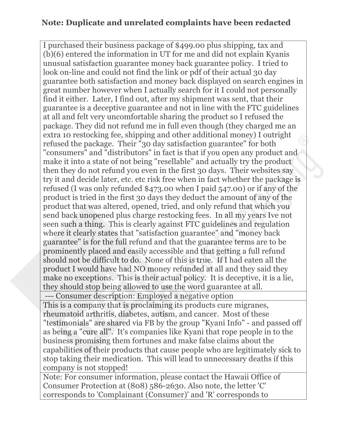## **Note: Duplicate and unrelated complaints have been redacted**

I purchased their business package of \$499.00 plus shipping, tax and (b)(6) entered the information in UT for me and did not explain Kyanis unusual satisfaction guarantee money back guarantee policy. I tried to look on-line and could not find the link or pdf of their actual 30 day guarantee both satisfaction and money back displayed on search engines in great number however when I actually search for it I could not personally find it either. Later, I find out, after my shipment was sent, that their guarantee is a deceptive guarantee and not in line with the FTC guidelines at all and felt very uncomfortable sharing the product so I refused the package. They did not refund me in full even though (they charged me an extra 10 restocking fee, shipping and other additional money) I outright refused the package. Their "30 day satisfaction guarantee" for both "consumers" and "distributors" in fact is that if you open any product and make it into a state of not being "resellable" and actually try the product then they do not refund you even in the first 30 days. Their websites say try it and decide later, etc. etc risk free when in fact whether the package is refused (I was only refunded \$473.00 when I paid 547.00) or if any of the product is tried in the first 30 days they deduct the amount of any of the product that was altered, opened, tried, and only refund that which you send back unopened plus charge restocking fees. In all my years Ive not seen such a thing. This is clearly against FTC guidelines and regulation where it clearly states that "satisfaction guarantee" and "money back guarantee" is for the full refund and that the guarantee terms are to be prominently placed and easily accessible and that getting a full refund should not be difficult to do. None of this is true. If I had eaten all the product I would have had NO money refunded at all and they said they make no exceptions. This is their actual policy. It is deceptive, it is a lie, they should stop being allowed to use the word guarantee at all. --- Consumer description: Employed a negative option

This is a company that is proclaiming its products cure migranes, rheumatoid arthritis, diabetes, autism, and cancer. Most of these "testimonials" are shared via FB by the group "Kyani Info" - and passed off as being a "cure all". It's companies like Kyani that rope people in to the business promising them fortunes and make false claims about the capabilities of their products that cause people who are legitimately sick to stop taking their medication. This will lead to unnecessary deaths if this company is not stopped!

Note: For consumer information, please contact the Hawaii Office of Consumer Protection at (808) 586-2630. Also note, the letter 'C' corresponds to 'Complainant (Consumer)' and 'R' corresponds to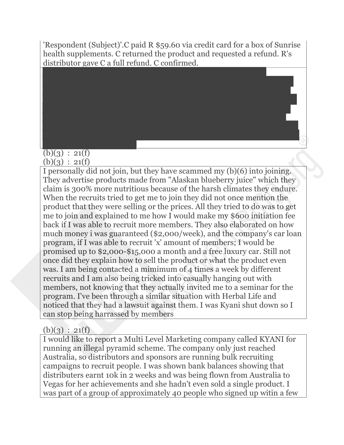'Respondent (Subject)'.C paid R \$59.60 via credit card for a box of Sunrise health supplements. C returned the product and requested a refund. R's distributor gave C a full refund. C confirmed.

## $(b)(3) : 21(f)$  $(b)(3) : 21(f)$

I personally did not join, but they have scammed my (b)(6) into joining. They advertise products made from "Alaskan blueberry juice" which they claim is 300% more nutritious because of the harsh climates they endure. When the recruits tried to get me to join they did not once mention the product that they were selling or the prices. All they tried to do was to get me to join and explained to me how I would make my \$600 initiation fee back if I was able to recruit more members. They also elaborated on how much money i was guaranteed (\$2,000/week), and the company's car loan program, if I was able to recruit 'x' amount of members; I would be promised up to \$2,000-\$15,000 a month and a free luxury car. Still not once did they explain how to sell the product or what the product even was. I am being contacted a mimimum of 4 times a week by different recruits and I am also being tricked into casually hanging out with members, not knowing that they actually invited me to a seminar for the program. I've been through a similar situation with Herbal Life and noticed that they had a lawsuit against them. I was Kyani shut down so I can stop being harrassed by members

## $(b)(3) : 21(f)$

I would like to report a Multi Level Marketing company called KYANI for running an illegal pyramid scheme. The company only just reached Australia, so distributors and sponsors are running bulk recruiting campaigns to recruit people. I was shown bank balances showing that distributers earnt 10k in 2 weeks and was being flown from Australia to Vegas for her achievements and she hadn't even sold a single product. I was part of a group of approximately 40 people who signed up witin a few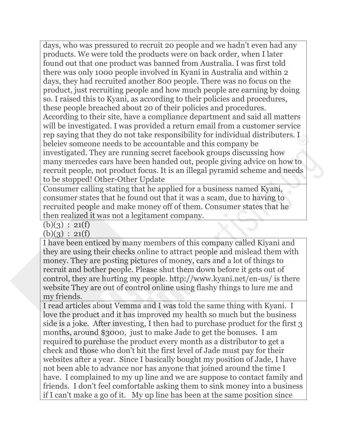days, who was pressured to recruit 20 people and we hadn't even had any products. We were told the products were on back order, when I later found out that one product was banned from Australia. I was first told there was only 1000 people involved in Kyani in Australia and within 2 days, they had recruited another 800 people. There was no focus on the product, just recruiting people and how much people are earning by doing so. I raised this to Kyani, as according to their policies and procedures, these people breached about 20 of their policies and procedures. According to their site, have a compliance department and said all matters will be investigated. I was provided a return email from a customer service rep saying that they do not take responsibility for individual distributers. I beleiev someone needs to be accountable and this company be investigated. They are running secret facebook groups discussing how many mercedes cars have been handed out, people giving advice on how to recruit people, not product focus. It is an illegal pyramid scheme and needs to be stopped! Other-Other Update

Consumer calling stating that he applied for a business named Kyani, consumer states that he found out that it was a scam, due to having to recruited people and make money off of them. Consumer states that he then realized it was not a legitament company.

 $(b)(3) : 21(f)$ 

 $(b)(3) : 21(f)$ 

I have been enticed by many members of this company called Kiyani and they are using their checks online to attract people and mislead them with money. They are posting pictures of money, cars and a lot of things to recruit and bother people. Please shut them down before it gets out of control, they are hurting my people. http://www.kyani.net/en-us/ is there website They are out of control online using flashy things to lure me and my friends.

I read articles about Vemma and I was told the same thing with Kyani. I love the product and it has improved my health so much but the business side is a joke. After investing, I then had to purchase product for the first 3 months, around \$3000, just to make Jade to get the bonuses. I am required to purchase the product every month as a distributor to get a check and those who don't hit the first level of Jade must pay for their websites after a year. Since I basically bought my position of Jade, I have not been able to advance nor has anyone that joined around the time I have. I complained to my up line and we are suppose to contact family and friends. I don't feel comfortable asking them to sink money into a business if I can't make a go of it. My up line has been at the same position since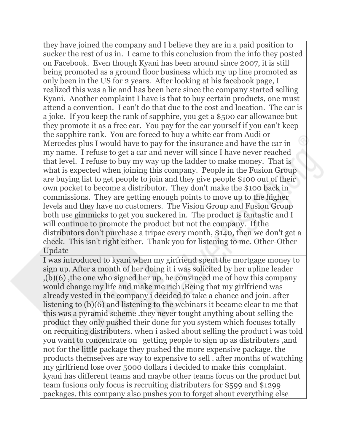they have joined the company and I believe they are in a paid position to sucker the rest of us in. I came to this conclusion from the info they posted on Facebook. Even though Kyani has been around since 2007, it is still being promoted as a ground floor business which my up line promoted as only been in the US for 2 years. After looking at his facebook page, I realized this was a lie and has been here since the company started selling Kyani. Another complaint I have is that to buy certain products, one must attend a convention. I can't do that due to the cost and location. The car is a joke. If you keep the rank of sapphire, you get a \$500 car allowance but they promote it as a free car. You pay for the car yourself if you can't keep the sapphire rank. You are forced to buy a white car from Audi or Mercedes plus I would have to pay for the insurance and have the car in my name. I refuse to get a car and never will since I have never reached that level. I refuse to buy my way up the ladder to make money. That is what is expected when joining this company. People in the Fusion Group are buying list to get people to join and they give people \$100 out of their own pocket to become a distributor. They don't make the \$100 back in commissions. They are getting enough points to move up to the higher levels and they have no customers. The Vision Group and Fusion Group both use gimmicks to get you suckered in. The product is fantastic and I will continue to promote the product but not the company. If the distributors don't purchase a tripac every month, \$140, then we don't get a check. This isn't right either. Thank you for listening to me. Other-Other Update

I was introduced to kyani when my girfriend spent the mortgage money to sign up. After a month of her doing it i was solicited by her upline leader ,(b)(6) ,the one who signed her up. he convinced me of how this company would change my life and make me rich .Being that my girlfriend was already vested in the company i decided to take a chance and join. after listening to (b)(6) and listening to the webinars it became clear to me that this was a pyramid scheme .they never tought anything about selling the product they only pushed their done for you system which focuses totally on recruiting distributers. when i asked about selling the product i was told you want to concentrate on getting people to sign up as distributers ,and not for the little package they pushed the more expensive package. the products themselves are way to expensive to sell . after months of watching my girlfriend lose over 5000 dollars i decided to make this complaint. kyani has different teams and maybe other teams focus on the product but team fusions only focus is recruiting distributers for \$599 and \$1299 packages. this company also pushes you to forget ahout everything else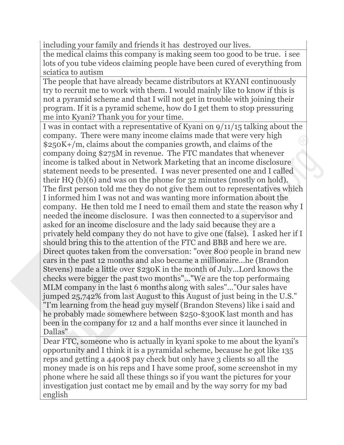including your family and friends it has destroyed our lives.

the medical claims this company is making seem too good to be true. i see lots of you tube videos claiming people have been cured of everything from sciatica to autism

The people that have already became distributors at KYANI continuously try to recruit me to work with them. I would mainly like to know if this is not a pyramid scheme and that I will not get in trouble with joining their program. If it is a pyramid scheme, how do I get them to stop pressuring me into Kyani? Thank you for your time.

I was in contact with a representative of Kyani on 9/11/15 talking about the company. There were many income claims made that were very high \$250K+/m, claims about the companies growth, and claims of the company doing \$275M in revenue. The FTC mandates that whenever income is talked about in Network Marketing that an income disclosure statement needs to be presented. I was never presented one and I called their HQ (b)(6) and was on the phone for 32 minutes (mostly on hold). The first person told me they do not give them out to representatives which I informed him I was not and was wanting more information about the company. He then told me I need to email them and state the reason why I needed the income disclosure. I was then connected to a supervisor and asked for an income disclosure and the lady said because they are a privately held company they do not have to give one (false). I asked her if I should bring this to the attention of the FTC and BBB and here we are. Direct quotes taken from the conversation: "over 800 people in brand new cars in the past 12 months and also became a millionaire...he (Brandon Stevens) made a little over \$230K in the month of July...Lord knows the checks were bigger the past two months"..."We are the top performaing MLM company in the last 6 months along with sales"..."Our sales have jumped 25,742% from last August to this August of just being in the U.S." "I'm learning from the head guy myself (Brandon Stevens) like i said and he probably made somewhere between \$250-\$300K last month and has been in the company for 12 and a half months ever since it launched in Dallas"

Dear FTC, someone who is actually in kyani spoke to me about the kyani's opportunity and I think it is a pyramidal scheme, because he got like 135 reps and getting a 4400\$ pay check but only have 3 clients so all the money made is on his reps and I have some proof, some screenshot in my phone where he said all these things so if you want the pictures for your investigation just contact me by email and by the way sorry for my bad english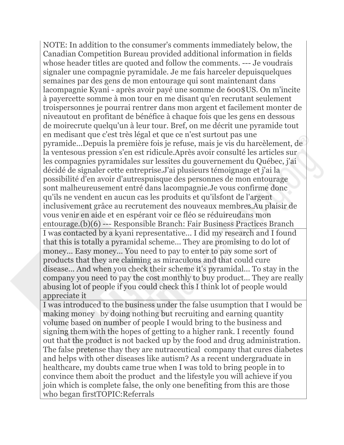NOTE: In addition to the consumer's comments immediately below, the Canadian Competition Bureau provided additional information in fields whose header titles are quoted and follow the comments. --- Je voudrais signaler une compagnie pyramidale. Je me fais harceler depuisquelques semaines par des gens de mon entourage qui sont maintenant dans lacompagnie Kyani - après avoir payé une somme de 600\$US. On m'incite à payercette somme à mon tour en me disant qu'en recrutant seulement troispersonnes je pourrai rentrer dans mon argent et facilement monter de niveautout en profitant de bénéfice à chaque fois que les gens en dessous de moirecrute quelqu'un à leur tour. Bref, on me décrit une pyramide tout en medisant que c'est très légal et que ce n'est surtout pas une pyramide...Depuis la première fois je refuse, mais je vis du harcèlement, de la ventesous pression s'en est ridicule.Après avoir consulté les articles sur les compagnies pyramidales sur lessites du gouvernement du Québec, j'ai décidé de signaler cette entreprise.J'ai plusieurs témoignage et j'ai la possibilité d'en avoir d'autrespuisque des personnes de mon entourage sont malheureusement entré dans lacompagnie.Je vous confirme donc qu'ils ne vendent en aucun cas les produits et qu'ilsfont de l'argent inclusivement grâce au recrutement des nouveaux membres.Au plaisir de vous venir en aide et en espérant voir ce fléo se réduireudans mon entourage.(b)(6) --- Responsible Branch: Fair Business Practices Branch I was contacted by a kyani representative... I did my research and I found that this is totally a pyramidal scheme... They are promising to do lot of money... Easy money... You need to pay to enter to pay some sort of products that they are claiming as miraculous and that could cure disease... And when you check their scheme it's pyramidal... To stay in the company you need to pay the cost monthly to buy product... They are really abusing lot of people if you could check this I think lot of people would appreciate it

I was introduced to the business under the false usumption that I would be making money by doing nothing but recruiting and earning quantity volume based on number of people I would bring to the business and signing them with the hopes of getting to a higher rank. I recently found out that the product is not backed up by the food and drug administration. The false pretense thay they are nutraceutical company that cures diabetes and helps with other diseases like autism? As a recent undergraduate in healthcare, my doubts came true when I was told to bring people in to convince them aboit the product and the lifestyle you will achieve if you join which is complete false, the only one benefiting from this are those who began firstTOPIC:Referrals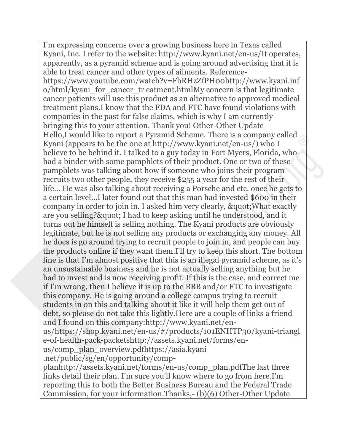I'm expressing concerns over a growing business here in Texas called Kyani, Inc. I refer to the website: http://www.kyani.net/en-us/It operates, apparently, as a pyramid scheme and is going around advertising that it is able to treat cancer and other types of ailments. Referencehttps://www.youtube.com/watch?v=FbRHzZfPH00http://www.kyani.inf o/html/kyani\_for\_cancer\_tr eatment.htmlMy concern is that legitimate cancer patients will use this product as an alternative to approved medical treatment plans.I know that the FDA and FTC have found violations with companies in the past for false claims, which is why I am currently bringing this to your attention. Thank you! Other-Other Update Hello,I would like to report a Pyramid Scheme. There is a company called Kyani (appears to be the one at http://www.kyani.net/en-us/) who I believe to be behind it. I talked to a guy today in Fort Myers, Florida, who had a binder with some pamphlets of their product. One or two of these pamphlets was talking about how if someone who joins their program recruits two other people, they receive \$255 a year for the rest of their life... He was also talking about receiving a Porsche and etc. once he gets to a certain level...I later found out that this man had invested \$600 in their company in order to join in. I asked him very clearly, & quot; What exactly are you selling? & quot; I had to keep asking until he understood, and it turns out he himself is selling nothing. The Kyani products are obviously legitimate, but he is not selling any products or exchanging any money. All he does is go around trying to recruit people to join in, and people can buy the products online if they want them.I'll try to keep this short. The bottom line is that I'm almost positive that this is an illegal pyramid scheme, as it's an unsustainable business and he is not actually selling anything but he had to invest and is now receiving profit. If this is the case, and correct me if I'm wrong, then I believe it is up to the BBB and/or FTC to investigate this company. He is going around a college campus trying to recruit students in on this and talking about it like it will help them get out of debt, so please do not take this lightly.Here are a couple of links a friend and I found on this company:http://www.kyani.net/enus/https://shop.kyani.net/en-us/#/products/101ENHTP30/kyani-triangl e-of-health-pack-packetshttp://assets.kyani.net/forms/en-

us/comp\_plan\_overview.pdfhttps://asia.kyani .net/public/sg/en/opportunity/comp-

planhttp://assets.kyani.net/forms/en-us/comp\_plan.pdfThe last three links detail their plan. I'm sure you'll know where to go from here.I'm reporting this to both the Better Business Bureau and the Federal Trade Commission, for your information.Thanks,- (b)(6) Other-Other Update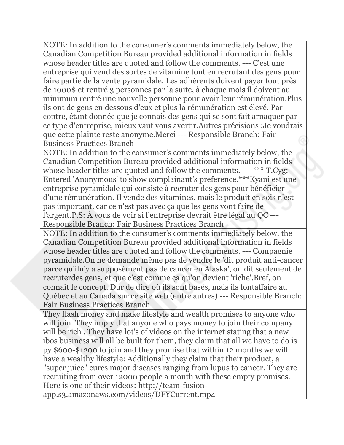NOTE: In addition to the consumer's comments immediately below, the Canadian Competition Bureau provided additional information in fields whose header titles are quoted and follow the comments. --- C'est une entreprise qui vend des sortes de vitamine tout en recrutant des gens pour faire partie de la vente pyramidale. Les adhérents doivent payer tout près de 1000\$ et rentré 3 personnes par la suite, à chaque mois il doivent au minimum rentré une nouvelle personne pour avoir leur rémunération.Plus ils ont de gens en dessous d'eux et plus la rémunération est élevé. Par contre, étant donnée que je connais des gens qui se sont fait arnaquer par ce type d'entreprise, mieux vaut vous avertir.Autres précisions :Je voudrais que cette plainte reste anonyme.Merci --- Responsible Branch: Fair Business Practices Branch

NOTE: In addition to the consumer's comments immediately below, the Canadian Competition Bureau provided additional information in fields whose header titles are quoted and follow the comments. --- \*\*\* T.Cyg: Entered 'Anonymous' to show complainant's preference.\*\*\*Kyani est une entreprise pyramidale qui consiste à recruter des gens pour bénéficier d'une rémunération. Il vende des vitamines, mais le produit en sois n'est pas important, car ce n'est pas avec ça que les gens vont faire de l'argent.P.S: À vous de voir si l'entreprise devrait être légal au QC --- Responsible Branch: Fair Business Practices Branch

NOTE: In addition to the consumer's comments immediately below, the Canadian Competition Bureau provided additional information in fields whose header titles are quoted and follow the comments. --- Compagnie pyramidale.On ne demande même pas de vendre le 'dit produit anti-cancer parce qu'iln'y a supposément pas de cancer en Alaska', on dit seulement de recruterdes gens, et que c'est comme ça qu'on devient 'riche'.Bref, on connaît le concept. Dur de dire où ils sont basés, mais ils fontaffaire au Québec et au Canada sur ce site web (entre autres) --- Responsible Branch: Fair Business Practices Branch

They flash money and make lifestyle and wealth promises to anyone who will join. They imply that anyone who pays money to join their company will be rich. They have lot's of videos on the internet stating that a new ibos business will all be built for them, they claim that all we have to do is py \$600-\$1200 to join and they promise that within 12 months we will have a wealthy lifestyle: Additionally they claim that their product, a "super juice" cures major diseases ranging from lupus to cancer. They are recruiting from over 12000 people a month with these empty promises. Here is one of their videos: http://team-fusion-

app.s3.amazonaws.com/videos/DFYCurrent.mp4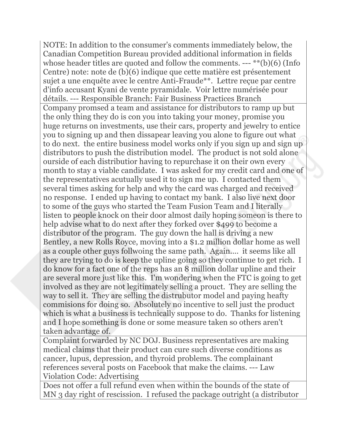NOTE: In addition to the consumer's comments immediately below, the Canadian Competition Bureau provided additional information in fields whose header titles are quoted and follow the comments. --- \*\*(b)(6) (Info Centre) note: note de (b)(6) indique que cette matière est présentement sujet a une enquête avec le centre Anti-Fraude\*\*. Lettre reçue par centre d'info accusant Kyani de vente pyramidale. Voir lettre numérisée pour détails. --- Responsible Branch: Fair Business Practices Branch Company promsed a team and assistance for distributors to ramp up but the only thing they do is con you into taking your money, promise you huge returns on investments, use their cars, property and jewelry to entice you to signing up and then dissapear leaving you alone to figure out what to do next. the entire business model works only if you sign up and sign up distributors to push the distribution model. The product is not sold alone ourside of each distributior having to repurchase it on their own every month to stay a viable candidate. I was asked for my credit card and one of the representatives acutually used it to sign me up. I contacted them several times asking for help and why the card was charged and received no response. I ended up having to contact my bank. I also live next door to some of the guys who started the Team Fusion Team and I literally listen to people knock on their door almost daily hoping someon is there to help advise what to do next after they forked over \$499 to become a distributor of the program. The guy down the hall is driving a new Bentley, a new Rolls Royce, moving into a \$1.2 million dollar home as well as a couple other guys follwoing the same path. Again.... it seems like all they are trying to do is keep the upline going so they continue to get rich. I do know for a fact one of the reps has an 8 million dollar upline and their are several more just like this. I'm wondering when the FTC is going to get involved as they are not legitimately selling a prouct. They are selling the way to sell it. They are selling the distrubutor model and paying heafty commisions for doing so. Absolutely no incentive to sell just the product which is what a business is technically suppose to do. Thanks for listening and I hope something is done or some measure taken so others aren't taken advantage of.

Complaint forwarded by NC DOJ. Business representatives are making medical claims that their product can cure such diverse conditions as cancer, lupus, depression, and thyroid problems. The complainant references several posts on Facebook that make the claims. --- Law Violation Code: Advertising

Does not offer a full refund even when within the bounds of the state of MN 3 day right of rescission. I refused the package outright (a distributor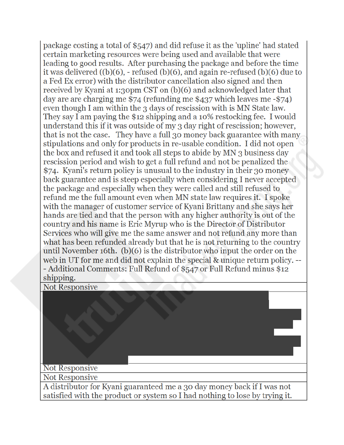package costing a total of \$547) and did refuse it as the 'upline' had stated certain marketing resources were being used and available that were leading to good results. After purchasing the package and before the time it was delivered  $((b)(6)$ , - refused  $(b)(6)$ , and again re-refused  $(b)(6)$  due to a Fed Ex error) with the distributor cancellation also signed and then received by Kyani at 1:30pm CST on (b)(6) and acknowledged later that day are are charging me  $$74$  (refunding me  $$437$  which leaves me  $$74$ ) even though I am within the 3 days of rescission with is MN State law. They say I am paying the \$12 shipping and a 10% restocking fee. I would understand this if it was outside of my 3 day right of rescission; however, that is not the case. They have a full 30 money back guarantee with many stipulations and only for products in re-usable condition. I did not open the box and refused it and took all steps to abide by MN 3 business day rescission period and wish to get a full refund and not be penalized the \$74. Kyani's return policy is unusual to the industry in their 30 money back guarantee and is steep especially when considering I never accepted the package and especially when they were called and still refused to refund me the full amount even when MN state law requires it. I spoke with the manager of customer service of Kyani Brittany and she says her hands are tied and that the person with any higher authority is out of the country and his name is Eric Myrup who is the Director of Distributor Services who will give me the same answer and not refund any more than what has been refunded already but that he is not returning to the country until November 16th.  $(b)(6)$  is the distributor who input the order on the web in UT for me and did not explain the special & unique return policy. --- Additional Comments: Full Refund of \$547 or Full Refund minus \$12 shipping.

**Not Responsive** 

## **Not Responsive**

**Not Responsive** 

A distributor for Kyani guaranteed me a 30 day money back if I was not satisfied with the product or system so I had nothing to lose by trying it.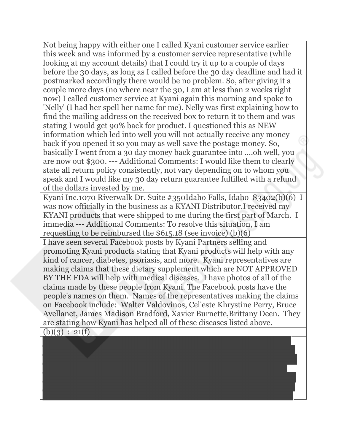Not being happy with either one I called Kyani customer service earlier this week and was informed by a customer service representative (while looking at my account details) that I could try it up to a couple of days before the 30 days, as long as I called before the 30 day deadline and had it postmarked accordingly there would be no problem. So, after giving it a couple more days (no where near the 30, I am at less than 2 weeks right now) I called customer service at Kyani again this morning and spoke to 'Nelly' (I had her spell her name for me). Nelly was first explaining how to find the mailing address on the received box to return it to them and was stating I would get 90% back for product. I questioned this as NEW information which led into well you will not actually receive any money back if you opened it so you may as well save the postage money. So, basically I went from a 30 day money back guarantee into ....oh well, you are now out \$300. --- Additional Comments: I would like them to clearly state all return policy consistently, not vary depending on to whom you speak and I would like my 30 day return guarantee fulfilled with a refund of the dollars invested by me.

Kyani Inc.1070 Riverwalk Dr. Suite #350Idaho Falls, Idaho 83402(b)(6) I was now officially in the business as a KYANI Distributor.I received my KYANI products that were shipped to me during the first part of March. I immedia --- Additional Comments: To resolve this situation, I am requesting to be reimbursed the \$615.18 (see invoice) (b)(6)

I have seen several Facebook posts by Kyani Partners selling and promoting Kyani products stating that Kyani products will help with any kind of cancer, diabetes, psoriasis, and more. Kyani representatives are making claims that these dietary supplement which are NOT APPROVED BY THE FDA will help with medical diseases. I have photos of all of the claims made by these people from Kyani. The Facebook posts have the people's names on them. Names of the representatives making the claims on Facebook include: Walter Valdovinos, Cel'este Khrystine Perry, Bruce Avellanet, James Madison Bradford, Xavier Burnette,Brittany Deen. They are stating how Kyani has helped all of these diseases listed above.

 $(b)(3) : 21(f)$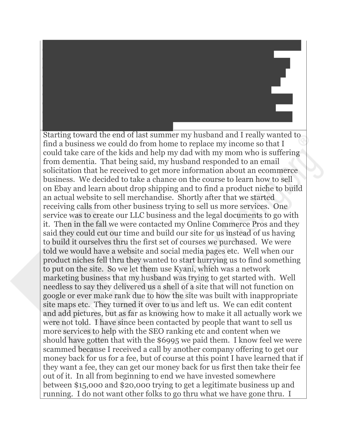Starting toward the end of last summer my husband and I really wanted to find a business we could do from home to replace my income so that I could take care of the kids and help my dad with my mom who is suffering from dementia. That being said, my husband responded to an email solicitation that he received to get more information about an ecommerce business. We decided to take a chance on the course to learn how to sell on Ebay and learn about drop shipping and to find a product niche to build an actual website to sell merchandise. Shortly after that we started receiving calls from other business trying to sell us more services. One service was to create our LLC business and the legal documents to go with it. Then in the fall we were contacted my Online Commerce Pros and they said they could cut our time and build our site for us instead of us having to build it ourselves thru the first set of courses we purchased. We were told we would have a website and social media pages etc. Well when our product niches fell thru they wanted to start hurrying us to find something to put on the site. So we let them use Kyani, which was a network marketing business that my husband was trying to get started with. Well needless to say they delivered us a shell of a site that will not function on google or ever make rank due to how the site was built with inappropriate site maps etc. They turned it over to us and left us. We can edit content and add pictures, but as far as knowing how to make it all actually work we were not told. I have since been contacted by people that want to sell us more services to help with the SEO ranking etc and content when we should have gotten that with the \$6995 we paid them. I know feel we were scammed because I received a call by another company offering to get our money back for us for a fee, but of course at this point I have learned that if they want a fee, they can get our money back for us first then take their fee out of it. In all from beginning to end we have invested somewhere between \$15,000 and \$20,000 trying to get a legitimate business up and running. I do not want other folks to go thru what we have gone thru. I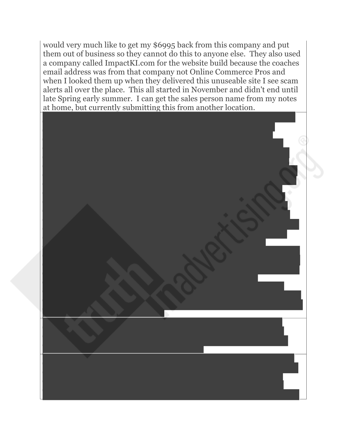would very much like to get my \$6995 back from this company and put them out of business so they cannot do this to anyone else. They also used a company called ImpactKI.com for the website build because the coaches email address was from that company not Online Commerce Pros and when I looked them up when they delivered this unuseable site I see scam alerts all over the place. This all started in November and didn't end until late Spring early summer. I can get the sales person name from my notes at home, but currently submitting this from another location.

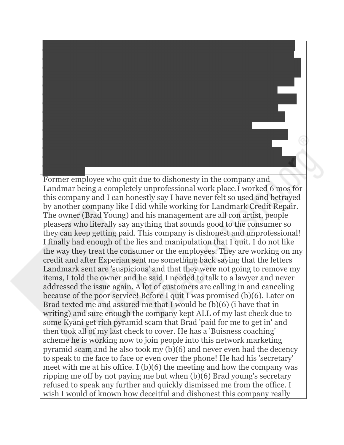Former employee who quit due to dishonesty in the company and Landmar being a completely unprofessional work place.I worked 6 mos for this company and I can honestly say I have never felt so used and betrayed by another company like I did while working for Landmark Credit Repair. The owner (Brad Young) and his management are all con artist, people pleasers who literally say anything that sounds good to the consumer so they can keep getting paid. This company is dishonest and unprofessional! I finally had enough of the lies and manipulation that I quit. I do not like the way they treat the consumer or the employees. They are working on my credit and after Experian sent me something back saying that the letters Landmark sent are 'suspicious' and that they were not going to remove my items, I told the owner and he said I needed to talk to a lawyer and never addressed the issue again. A lot of customers are calling in and canceling because of the poor service! Before I quit I was promised (b)(6). Later on Brad texted me and assured me that I would be (b)(6) (i have that in writing) and sure enough the company kept ALL of my last check due to some Kyani get rich pyramid scam that Brad 'paid for me to get in' and then took all of my last check to cover. He has a 'Buisness coaching' scheme he is working now to join people into this network marketing pyramid scam and he also took my (b)(6) and never even had the decency to speak to me face to face or even over the phone! He had his 'secretary' meet with me at his office. I (b)(6) the meeting and how the company was ripping me off by not paying me but when (b)(6) Brad young's secretary refused to speak any further and quickly dismissed me from the office. I wish I would of known how deceitful and dishonest this company really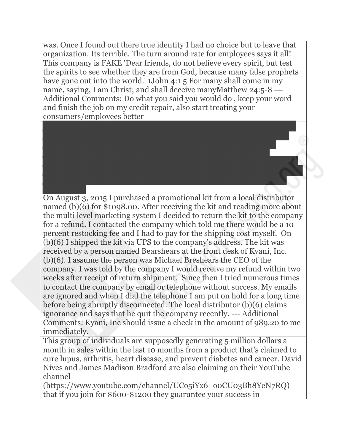was. Once I found out there true identity I had no choice but to leave that organization. Its terrible. The turn around rate for employees says it all! This company is FAKE 'Dear friends, do not believe every spirit, but test the spirits to see whether they are from God, because many false prophets have gone out into the world.' 1John 4:1.5 For many shall come in my name, saying, I am Christ; and shall deceive manyMatthew 24:5-8 ---Additional Comments: Do what you said you would do , keep your word and finish the job on my credit repair, also start treating your consumers/employees better

On August 3, 2015 I purchased a promotional kit from a local distributor named (b)(6) for \$1098.00. After receiving the kit and reading more about the multi level marketing system I decided to return the kit to the company for a refund. I contacted the company which told me there would be a 10 percent restocking fee and I had to pay for the shipping cost myself. On (b)(6) I shipped the kit via UPS to the company's address. The kit was received by a person named Bearshears at the front desk of Kyani, Inc. (b)(6). I assume the person was Michael Breshears the CEO of the company. I was told by the company I would receive my refund within two weeks after receipt of return shipment. Since then I tried numerous times to contact the company by email or telephone without success. My emails are ignored and when I dial the telephone I am put on hold for a long time before being abruptly disconnected. The local distributor (b)(6) claims ignorance and says that he quit the company recently. --- Additional Comments: Kyani, Inc should issue a check in the amount of 989.20 to me immediately.

This group of individuals are supposedly generating 5 million dollars a month in sales within the last 10 months from a product that's claimed to cure lupus, arthritis, heart disease, and prevent diabetes and cancer. David Nives and James Madison Bradford are also claiming on their YouTube channel

(https://www.youtube.com/channel/UCo5iYx6\_o0CU03Bh8YeN7RQ) that if you join for \$600-\$1200 they guaruntee your success in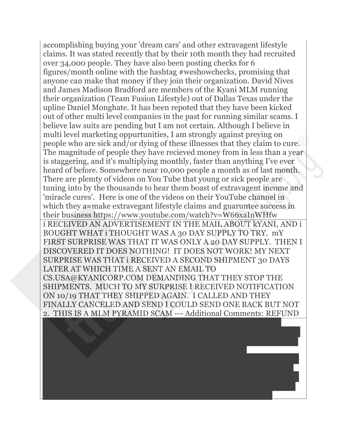accomplishing buying your 'dream cars' and other extravagent lifestyle claims. It was stated recently that by their 10th month they had recruited over 34,000 people. They have also been posting checks for 6 figures/month online with the hashtag #weshowchecks, promising that anyone can make that money if they join their organization. David Nives and James Madison Bradford are members of the Kyani MLM running their organization (Team Fusion Lifestyle) out of Dallas Texas under the upline Daniel Monghate. It has been repoted that they have been kicked out of other multi level companies in the past for running similar scams. I believe law suits are pending but I am not certain. Although I believe in multi level marketing oppurtunities, I am strongly against preying on people who are sick and/or dying of these illnesses that they claim to cure. The magnitude of people they have recieved money from in less than a year is staggering, and it's multiplying monthly, faster than anything I've ever heard of before. Somewhere near 10,000 people a month as of last month. There are plemty of videos on You Tube that young or sick people are tuning into by the thousands to hear them boast of extravagent income and 'miracle cures'. Here is one of the videos on their YouTube channel in which they a=make extravegant lifestyle claims and guaruntee success in their business https://www.youtube.com/watch?v=W66xaInWHfw i RECEIVED AN ADVERTISEMENT IN THE MAIL ABOUT kYANI, AND i BOUGHT WHAT i THOUGHT WAS A 30 DAY SUPPLY TO TRY. mY FIRST SURPRISE WAS THAT IT WAS ONLY A 20 DAY SUPPLY. THEN I DISCOVERED IT DOES NOTHING! IT DOES NOT WORK! MY NEXT SURPRISE WAS THAT i RECEIVED A SECOND SHIPMENT 30 DAYS LATER AT WHICH TIME A SENT AN EMAIL TO CS.USA@KYANICORP.COM DEMANDING THAT THEY STOP THE SHIPMENTS. MUCH TO MY SURPRISE I RECEIVED NOTIFICATION ON 10/19 THAT THEY SHIPPED AGAIN. I CALLED AND THEY FINALLY CANCELED AND SEND I COULD SEND ONE BACK BUT NOT 2. THIS IS A MLM PYRAMID SCAM --- Additional Comments: REFUND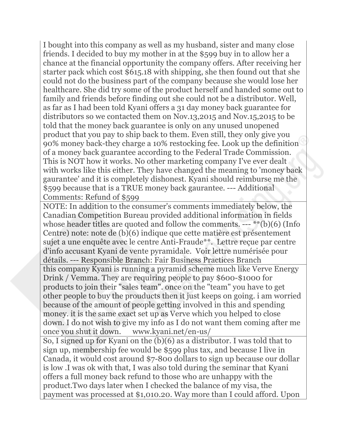I bought into this company as well as my husband, sister and many close friends. I decided to buy my mother in at the \$599 buy in to allow her a chance at the financial opportunity the company offers. After receiving her starter pack which cost \$615.18 with shipping, she then found out that she could not do the business part of the company because she would lose her healthcare. She did try some of the product herself and handed some out to family and friends before finding out she could not be a distributor. Well, as far as I had been told Kyani offers a 31 day money back guarantee for distributors so we contacted them on Nov.13,2015 and Nov.15,2015 to be told that the money back guarantee is only on any unused unopened product that you pay to ship back to them. Even still, they only give you 90% money back-they charge a 10% restocking fee. Look up the definition of a money back guarantee according to the Federal Trade Commission. This is NOT how it works. No other marketing company I've ever dealt with works like this either. They have changed the meaning to 'money back gaurantee' and it is completely dishonest. Kyani should reimburse me the \$599 because that is a TRUE money back gaurantee. --- Additional Comments: Refund of \$599

NOTE: In addition to the consumer's comments immediately below, the Canadian Competition Bureau provided additional information in fields whose header titles are quoted and follow the comments. --- \*\*(b)(6) (Info Centre) note: note de (b)(6) indique que cette matière est présentement sujet a une enquête avec le centre Anti-Fraude\*\*. Lettre reçue par centre d'info accusant Kyani de vente pyramidale. Voir lettre numérisée pour détails. --- Responsible Branch: Fair Business Practices Branch this company Kyani is running a pyramid scheme much like Verve Energy Drink / Vemma. They are requiring people to pay \$600-\$1000 for products to join their "sales team". once on the "team" you have to get other people to buy the prouducts then it just keeps on going. i am worried because of the amount of people getting involved in this and spending money. it is the same exact set up as Verve which you helped to close down. I do not wish to give my info as I do not want them coming after me once you shut it down. www.kyani.net/en-us/

So, I signed up for Kyani on the (b)(6) as a distributor. I was told that to sign up, membership fee would be \$599 plus tax, and because I live in Canada, it would cost around \$7-800 dollars to sign up because our dollar is low .I was ok with that, I was also told during the seminar that Kyani offers a full money back refund to those who are unhappy with the product.Two days later when I checked the balance of my visa, the payment was processed at \$1,010.20. Way more than I could afford. Upon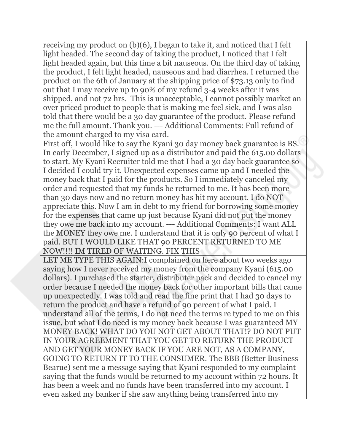receiving my product on (b)(6), I began to take it, and noticed that I felt light headed. The second day of taking the product, I noticed that I felt light headed again, but this time a bit nauseous. On the third day of taking the product, I felt light headed, nauseous and had diarrhea. I returned the product on the 6th of January at the shipping price of \$73.13 only to find out that I may receive up to 90% of my refund 3-4 weeks after it was shipped, and not 72 hrs. This is unacceptable, I cannot possibly market an over priced product to people that is making me feel sick, and I was also told that there would be a 30 day guarantee of the product. Please refund me the full amount. Thank you. --- Additional Comments: Full refund of the amount charged to my visa card.

First off, I would like to say the Kyani 30 day money back guarantee is BS. In early December, I signed up as a distributor and paid the 615.00 dollars to start. My Kyani Recruiter told me that I had a 30 day back guarantee so I decided I could try it. Unexpected expenses came up and I needed the money back that I paid for the products. So I immediately canceled my order and requested that my funds be returned to me. It has been more than 30 days now and no return money has hit my account. I do NOT appreciate this. Now I am in debt to my friend for borrowing some money for the expenses that came up just because Kyani did not put the money they owe me back into my account. --- Additional Comments: I want ALL the MONEY they owe me. I understand that it is only 90 percent of what I paid. BUT I WOULD LIKE THAT 90 PERCENT RETURNED TO ME NOW!!!! IM TIRED OF WAITING. FIX THIS

LET ME TYPE THIS AGAIN:I complained on here about two weeks ago saying how I never received my money from the company Kyani (615.00 dollars). I purchased the starter, distributer pack and decided to cancel my order because I needed the money back for other important bills that came up unexpectedly. I was told and read the fine print that I had 30 days to return the product and have a refund of 90 percent of what I paid. I understand all of the terms, I do not need the terms re typed to me on this issue, but what I do need is my money back because I was guaranteed MY MONEY BACK! WHAT DO YOU NOT GET ABOUT THAT!? DO NOT PUT IN YOUR AGREEMENT THAT YOU GET TO RETURN THE PRODUCT AND GET YOUR MONEY BACK IF YOU ARE NOT, AS A COMPANY, GOING TO RETURN IT TO THE CONSUMER. The BBB (Better Business Bearue) sent me a message saying that Kyani responded to my complaint saying that the funds would be returned to my account within 72 hours. It has been a week and no funds have been transferred into my account. I even asked my banker if she saw anything being transferred into my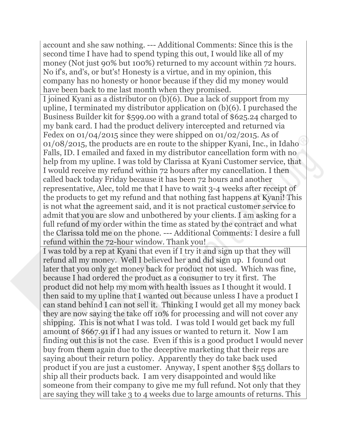account and she saw nothing. --- Additional Comments: Since this is the second time I have had to spend typing this out, I would like all of my money (Not just 90% but 100%) returned to my account within 72 hours. No if's, and's, or but's! Honesty is a virtue, and in my opinion, this company has no honesty or honor because if they did my money would have been back to me last month when they promised.

I joined Kyani as a distributor on (b)(6). Due a lack of support from my upline, I terminated my distributor application on (b)(6). I purchased the Business Builder kit for \$599.00 with a grand total of \$625.24 charged to my bank card. I had the product delivery intercepted and returned via Fedex on 01/04/2015 since they were shipped on 01/02/2015. As of 01/08/2015, the products are en route to the shipper Kyani, Inc., in Idaho Falls, ID. I emailed and faxed in my distributor cancellation form with no help from my upline. I was told by Clarissa at Kyani Customer service, that I would receive my refund within 72 hours after my cancellation. I then called back today Friday because it has been 72 hours and another representative, Alec, told me that I have to wait 3-4 weeks after receipt of the products to get my refund and that nothing fast happens at Kyani! This is not what the agreement said, and it is not practical customer service to admit that you are slow and unbothered by your clients. I am asking for a full refund of my order within the time as stated by the contract and what the Clarissa told me on the phone. --- Additional Comments: I desire a full refund within the 72-hour window. Thank you!

I was told by a rep at Kyani that even if I try it and sign up that they will refund all my money. Well I believed her and did sign up. I found out later that you only get money back for product not used. Which was fine, because I had ordered the product as a consumer to try it first. The product did not help my mom with health issues as I thought it would. I then said to my upline that I wanted out because unless I have a product I can stand behind I can not sell it. Thinking I would get all my money back they are now saying the take off 10% for processing and will not cover any shipping. This is not what I was told. I was told I would get back my full amount of \$667.91 if I had any issues or wanted to return it. Now I am finding out this is not the case. Even if this is a good product I would never buy from them again due to the deceptive marketing that their reps are saying about their return policy. Apparently they do take back used product if you are just a customer. Anyway, I spent another \$55 dollars to ship all their products back. I am very disappointed and would like someone from their company to give me my full refund. Not only that they are saying they will take 3 to 4 weeks due to large amounts of returns. This